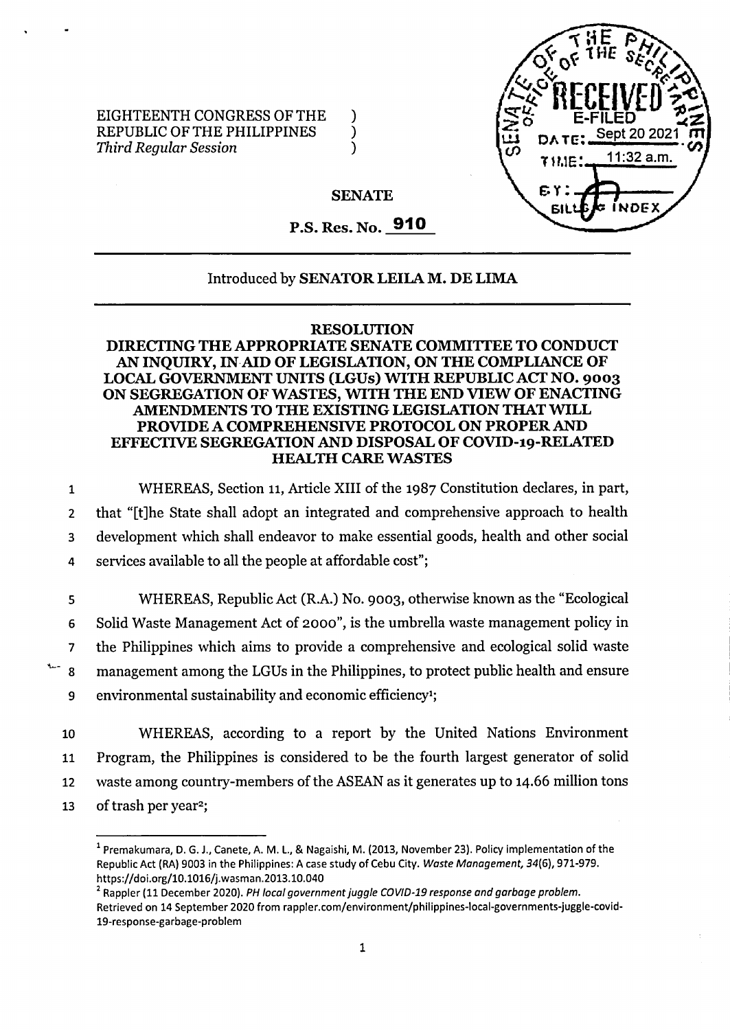

EIGHTEENTH CONGRESS OF THE )<br>REPUBLIC OF THE PHILIPPINES ) REPUBLIC OF THE PHILIPPINES *Third Regular Session* )

# **SENATE**

# P.S. Res. No. **910**

### Introduced by **SENATOR LEILA M. DE LIMA**

#### **RESOLUTION**

# **DIRECTING THE APPROPRIATE SENATE COMMITTEE TO CONDUCT AN INQUIRY, IN AID OF LEGISLATION, ON THE COMPLIANCE OF LOCAL GOVERNMENT UNITS (LGUs) WITH REPUBLIC ACT NO. 9003 ON SEGREGATION OFWASTES, WITH THE END VIEW OF ENACTING AMENDMENTS TO THE EXISTING LEGISLATION THATWILL PROVIDE A COMPREHENSIVE PROTOCOL ON PROPERAND EFFECTIVE SEGREGATION AND DISPOSAL OF COVID-19-RELATED HEALTH CARE WASTES**

 WHEREAS, Section 11, Article XIII of the 1987 Constitution declares, in part, that "[t]he State shall adopt an integrated and comprehensive approach to health development which shall endeavor to make essential goods, health and other social services available to all the people at affordable cost";

 WHEREAS, Republic Act (R.A.) No. 9003, otherwise known as the "Ecological Solid Waste Management Act of 2000", is the umbrella waste management policy in the Philippines which aims to provide a comprehensive and ecological solid waste management among the LGUs in the Philippines, to protect public health and ensure environmental sustainability and economic efficiency1;

10 WHEREAS, according to a report by the United Nations Environment 11 Program, the Philippines is considered to be the fourth largest generator of solid 12 waste among country-members of the ASEAN as it generates up to 14.66 million tons 13 of trash per year<sup>2</sup>;

<sup>&</sup>lt;sup>1</sup> Premakumara, D. G. J., Canete, A. M. L., & Nagaishi, M. (2013, November 23). Policy implementation of the **Republic Act (RA) 9003 in the Philippines; A case study of Cebu City.** *Waste Management,* **34(6), 971-979. <https://doi.Org/10.1016/j.wasman.2013.10.040>**

**<sup>2</sup> Rappler (11 December 2020).** *PH local governmentjuggle COVID-19 response and garbage problem.* **Retrieved on 14 September 2020 from rappler.com/environment/philippines-local-governments-juggle-covid-19-response-garbage-problem**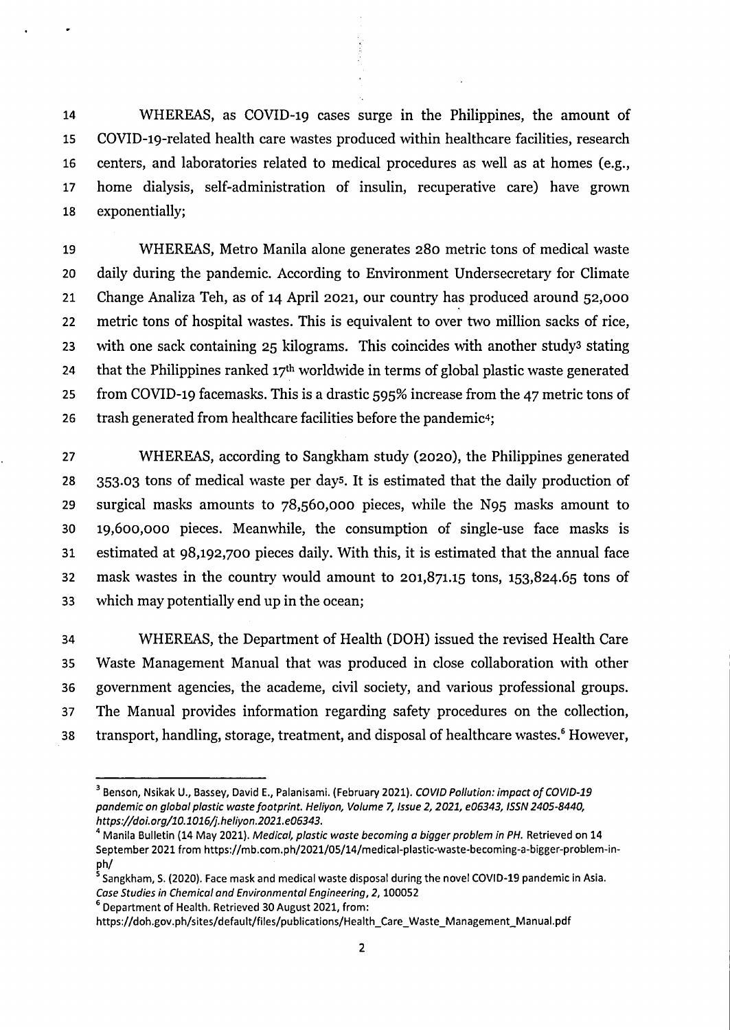WHEREAS, as COVID-19 cases surge in the Philippines, the amount of COVID-19-related health care wastes produced within healthcare facilities, research centers, and laboratories related to medical procedures as well as at homes (e.g., home dialysis, self-administration of insulin, recuperative care) have grown exponentially;

 WHEREAS, Metro Manila alone generates 280 metric tons of medical waste daily during the pandemic. According to Environment Undersecretary for Climate Change Analiza Teh, as of 14 April 2021, our country has produced around 52,000 metric tons of hospital wastes. This is equivalent to over two million sacks of rice, 23 with one sack containing kilograms. This coincides with another study<sup>3</sup> stating 24 that the Philippines ranked  $17<sup>th</sup>$  worldwide in terms of global plastic waste generated from COVID-19 facemasks. This is a drastic 595% increase from the 47 metric tons of 26 trash generated from healthcare facilities before the pandemic<sup>4</sup>;

 WHEREAS, according to Sangkham study (2020), the Philippines generated 353.03 tons of medical waste per days, it is estimated that the daily production of surgical masks amounts to 78,560,000 pieces, while the N95 masks amount to 19,600,000 pieces. Meanwhile, the consumption of single-use face masks is estimated at 98,192,700 pieces daily. With this, it is estimated that the annual face mask wastes in the country would amount to 201,871.15 tons, 153,824.65 tons of which may potentially end up in the ocean;

 WHEREAS, the Department of Health (DOH) issued the revised Health Care Waste Management Manual that was produced in close collaboration with other government agencies, the academe, civil society, and various professional groups. The Manual provides information regarding safety procedures on the collection, 38 transport, handling, storage, treatment, and disposal of healthcare wastes.<sup>6</sup> However,

**Department of Health. Retrieved 30 August 2021, from:**

 **Benson, Nsikak U., Bassey, David E., Palanisami. (February 2021).** *COVID Pollution: impact of COVID-19 pandemic on global plastic wastefootprint. Heiiyon, Volume 7, Issue 2,2021, e06343, ISSN 2405-8440, https://doi.org/10.1016/j.heliyon.2021.e06343.*

<sup>&</sup>lt;sup>4</sup> Manila Bulletin (14 May 2021). Medical, plastic waste becoming a bigger problem in PH. Retrieved on 14 **September 2021 from https;//mb.com.ph/2021/05/14/medical-plastic-waste-becoming-a-bigger-problem-inph/**

 **Sangkham, S. (2020). Face mask and medical waste disposal during the novel COVID-19 pandemic in Asia.** *Case Studies in Chemical and Environmental Engineering, 2,***<sup>100052</sup>**

**[https://doh.gov.ph/sites/default/files/publications/Health\\_Care\\_Waste\\_Management\\_Manual.pdf](https://doh.gov.ph/sites/default/files/publications/Health_Care_Waste_Management_Manual.pdf)**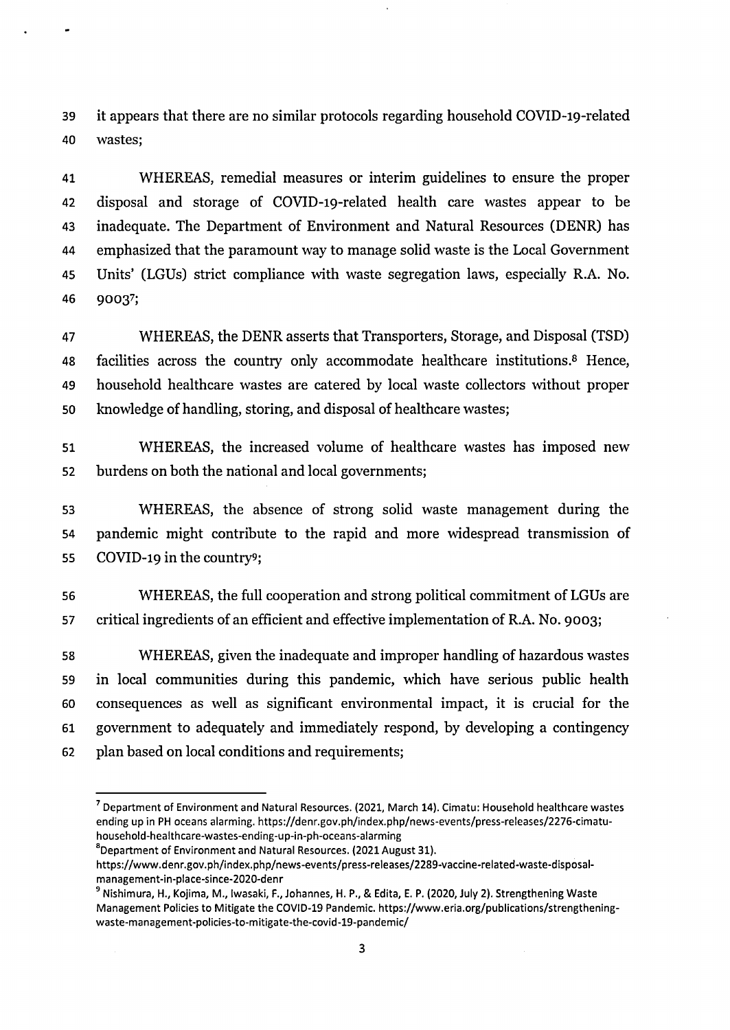it appears that there are no similar protocols regarding household COVID-19-related wastes;

 WHEREAS, remedial measures or interim guidelines to ensure the proper disposal and storage of COVID-19-related health care wastes appear to be inadequate. The Department of Environment and Natural Resources (DENR) has emphasized that the paramount way to manage solid waste is the Local Government Units' (LGUs) strict compliance with waste segregation laws, especially R.A. No. 90037;

 WHEREAS, the DENR asserts that Transporters, Storage, and Disposal (TSD) facilities across the country only accommodate healthcare institutions.8 Hence, household healthcare wastes are catered by local waste collectors without proper knowledge of handling, storing, and disposal of healthcare wastes;

 WHEREAS, the increased volume of healthcare wastes has imposed new burdens on both the national and local governments;

 WHEREAS, the absence of strong solid waste management during the pandemic might contribute to the rapid and more widespread transmission of COVID-19 in the country?;

 WHEREAS, the full cooperation and strong political commitment of LGUs are critical ingredients of an efficient and effective implementation of R.A. No. 9003;

 WHEREAS, given the inadequate and improper handling of hazardous wastes in local communities during this pandemic, which have serious public health consequences as well as significant environmental impact, it is crucial for the government to adequately and immediately respond, by developing a contingency plan based on local conditions and requirements;

 **Department of Environment and Natural Resources. (2021, March 14). Cimatu: Household healthcare wastes ending up in PH oceans alarming, [https://denr.gov.ph/index.php/news-events/press-releases/2276-cimatu](https://denr.gov.ph/index.php/news-events/press-releases/2276-cimatu-household-healthcare-wastes-ending-up-in-ph-oceans-alarming)[household-healthcare-wastes-ending-up-in-ph-oceans-alarming](https://denr.gov.ph/index.php/news-events/press-releases/2276-cimatu-household-healthcare-wastes-ending-up-in-ph-oceans-alarming)**

**<sup>8</sup>Department of Environment and Natural Resources. (2021 August 31).**

**[https://www.denr.gov.ph/index.php/news-events/press-releases/2289-vaccine-related-waste-disposal](https://www.denr.gov.ph/index.php/news-events/press-releases/2289-vaccine-related-waste-disposal-)management-in-place-since-2020-denr**

<sup>&</sup>lt;sup>9</sup> Nishimura, H., Kojima, M., Iwasaki, F., Johannes, H. P., & Edita, E. P. (2020, July 2). Strengthening Waste **Management Policies to Mitigate the COVID-19 Pandemic, [https://www.eria.org/publications/strengthening](https://www.eria.org/publications/strengthening-waste-management-policies-to-mitigate-the-covid-19-pandemic/)[waste-management-policies-to-mitigate-the-covid-19-pandemic/](https://www.eria.org/publications/strengthening-waste-management-policies-to-mitigate-the-covid-19-pandemic/)**